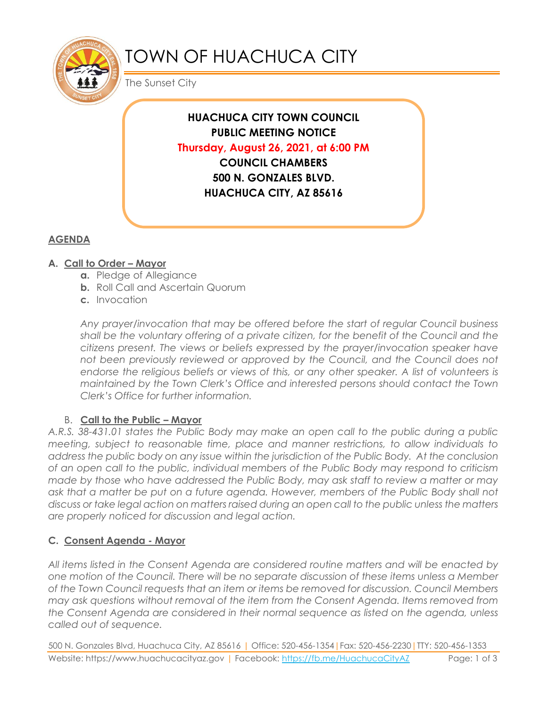

# TOWN OF HUACHUCA CITY

The Sunset City

**HUACHUCA CITY TOWN COUNCIL PUBLIC MEETING NOTICE Thursday, August 26, 2021, at 6:00 PM COUNCIL CHAMBERS 500 N. GONZALES BLVD. HUACHUCA CITY, AZ 85616**

# **AGENDA**

## **A. Call to Order – Mayor**

- **a.** Pledge of Allegiance
- **b.** Roll Call and Ascertain Quorum
- **c.** Invocation

*Any prayer/invocation that may be offered before the start of regular Council business shall be the voluntary offering of a private citizen, for the benefit of the Council and the citizens present. The views or beliefs expressed by the prayer/invocation speaker have*  not been previously reviewed or approved by the Council, and the Council does not endorse the religious beliefs or views of this, or any other speaker. A list of volunteers is *maintained by the Town Clerk's Office and interested persons should contact the Town Clerk's Office for further information.*

### B. **Call to the Public – Mayor**

*A.R.S. 38-431.01 states the Public Body may make an open call to the public during a public meeting, subject to reasonable time, place and manner restrictions, to allow individuals to address the public body on any issue within the jurisdiction of the Public Body. At the conclusion of an open call to the public, individual members of the Public Body may respond to criticism made by those who have addressed the Public Body, may ask staff to review a matter or may ask that a matter be put on a future agenda. However, members of the Public Body shall not discuss or take legal action on matters raised during an open call to the public unless the matters are properly noticed for discussion and legal action.*

### **C. Consent Agenda - Mayor**

*All items listed in the Consent Agenda are considered routine matters and will be enacted by one motion of the Council. There will be no separate discussion of these items unless a Member of the Town Council requests that an item or items be removed for discussion. Council Members may ask questions without removal of the item from the Consent Agenda. Items removed from the Consent Agenda are considered in their normal sequence as listed on the agenda, unless called out of sequence.*

500 N. Gonzales Blvd, Huachuca City, AZ 85616 | Office: 520-456-1354|Fax: 520-456-2230|TTY: 520-456-1353 Website: https://www.huachucacityaz.gov | Facebook:<https://fb.me/HuachucaCityAZ> Page: 1 of 3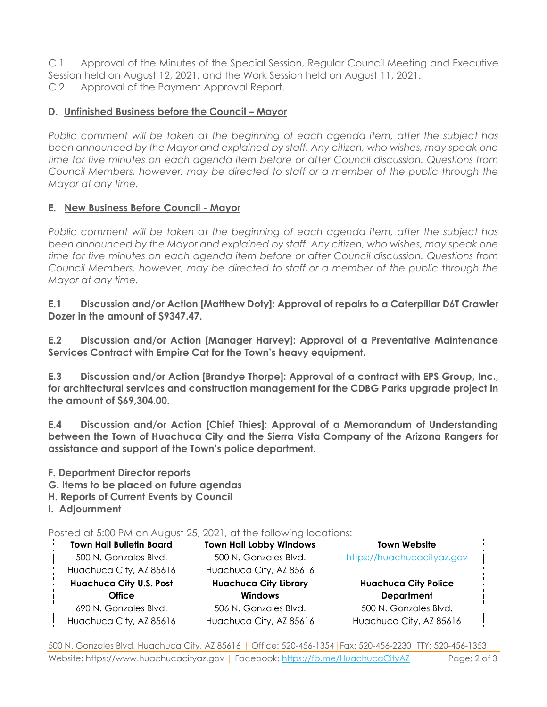C.1 Approval of the Minutes of the Special Session, Regular Council Meeting and Executive Session held on August 12, 2021, and the Work Session held on August 11, 2021. C.2 Approval of the Payment Approval Report.

#### **D.** Unfinished Business before the Council – Mayor

*Public comment will be taken at the beginning of each agenda item, after the subject has been announced by the Mayor and explained by staff. Any citizen, who wishes, may speak one time for five minutes on each agenda item before or after Council discussion. Questions from Council Members, however, may be directed to staff or a member of the public through the Mayor at any time.*

#### **E. New Business Before Council - Mayor**

*Public comment will be taken at the beginning of each agenda item, after the subject has been announced by the Mayor and explained by staff. Any citizen, who wishes, may speak one time for five minutes on each agenda item before or after Council discussion. Questions from Council Members, however, may be directed to staff or a member of the public through the Mayor at any time.* 

**E.1 Discussion and/or Action [Matthew Doty]: Approval of repairs to a Caterpillar D6T Crawler Dozer in the amount of \$9347.47.**

**E.2 Discussion and/or Action [Manager Harvey]: Approval of a Preventative Maintenance Services Contract with Empire Cat for the Town's heavy equipment.**

**E.3 Discussion and/or Action [Brandye Thorpe]: Approval of a contract with EPS Group, Inc., for architectural services and construction management for the CDBG Parks upgrade project in the amount of \$69,304.00.**

**E.4 Discussion and/or Action [Chief Thies]: Approval of a Memorandum of Understanding between the Town of Huachuca City and the Sierra Vista Company of the Arizona Rangers for assistance and support of the Town's police department.**

- **F. Department Director reports**
- **G. Items to be placed on future agendas**
- **H. Reports of Current Events by Council**
- **I. Adjournment**

Posted at 5:00 PM on August 25, 2021, at the following locations:

| <b>Town Hall Bulletin Board</b> | <b>Town Hall Lobby Windows</b> | <b>Town Website</b>         |
|---------------------------------|--------------------------------|-----------------------------|
| 500 N. Gonzales Blvd.           | 500 N. Gonzales Blvd.          | https://huachucacityaz.gov  |
| Huachuca City, AZ 85616         | Huachuca City, AZ 85616        |                             |
| <b>Huachuca City U.S. Post</b>  | <b>Huachuca City Library</b>   | <b>Huachuca City Police</b> |
| <b>Office</b>                   | <b>Windows</b>                 | <b>Department</b>           |
| 690 N. Gonzales Blvd.           | 506 N. Gonzales Blvd.          | 500 N. Gonzales Blvd.       |
| Huachuca City, AZ 85616         | Huachuca City, AZ 85616        | Huachuca City, AZ 85616     |

500 N. Gonzales Blvd, Huachuca City, AZ 85616 | Office: 520-456-1354|Fax: 520-456-2230|TTY: 520-456-1353 Website: https://www.huachucacityaz.gov | Facebook:<https://fb.me/HuachucaCityAZ> Page: 2 of 3